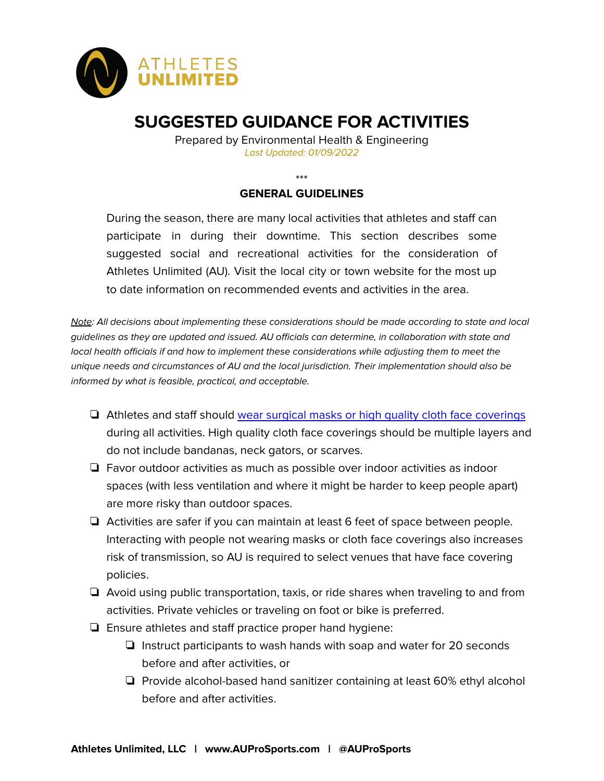

# **SUGGESTED GUIDANCE FOR ACTIVITIES**

Prepared by Environmental Health & Engineering Last Updated: 01/09/2022

\*\*\*

## **GENERAL GUIDELINES**

During the season, there are many local activities that athletes and staff can participate in during their downtime. This section describes some suggested social and recreational activities for the consideration of Athletes Unlimited (AU). Visit the local city or town website for the most up to date information on recommended events and activities in the area.

Note: All decisions about implementing these considerations should be made according to state and local guidelines as they are updated and issued. AU officials can determine, in collaboration with state and local health officials if and how to implement these considerations while adjusting them to meet the unique needs and circumstances of AU and the local jurisdiction. Their implementation should also be informed by what is feasible, practical, and acceptable.

- ❏ Athletes and staff should wear surgical masks or high quality cloth face [coverings](https://www.cdc.gov/coronavirus/2019-ncov/prevent-getting-sick/diy-cloth-face-coverings.html) during all activities. High quality cloth face coverings should be multiple layers and do not include bandanas, neck gators, or scarves.
- ❏ Favor outdoor activities as much as possible over indoor activities as indoor spaces (with less ventilation and where it might be harder to keep people apart) are more risky than outdoor spaces.
- ❏ Activities are safer if you can maintain at least 6 feet of space between people. Interacting with people not wearing masks or cloth face coverings also increases risk of transmission, so AU is required to select venues that have face covering policies.
- ❏ Avoid using public transportation, taxis, or ride shares when traveling to and from activities. Private vehicles or traveling on foot or bike is preferred.
- ❏ Ensure athletes and staff practice proper hand hygiene:
	- ❏ Instruct participants to wash hands with soap and water for 20 seconds before and after activities, or
	- ❏ Provide alcohol-based hand sanitizer containing at least 60% ethyl alcohol before and after activities.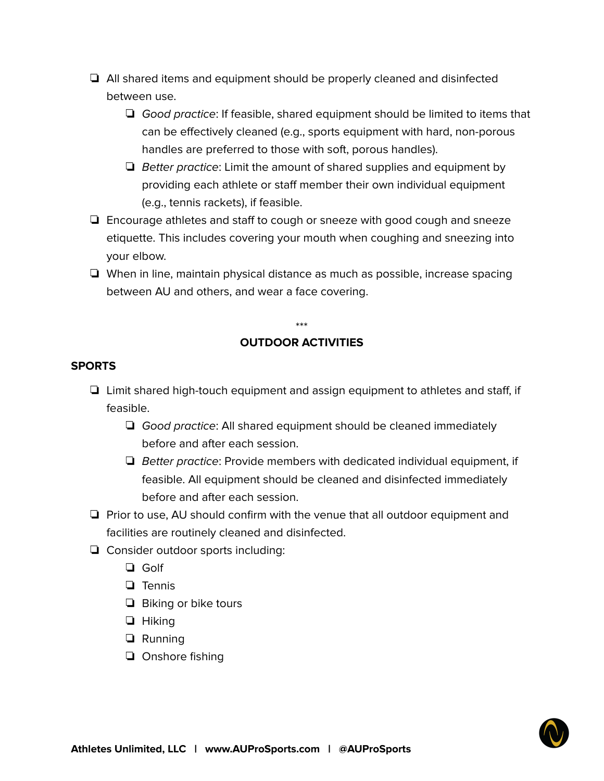- ❏ All shared items and equipment should be properly cleaned and disinfected between use.
	- ❏ Good practice: If feasible, shared equipment should be limited to items that can be effectively cleaned (e.g., sports equipment with hard, non-porous handles are preferred to those with soft, porous handles).
	- ❏ Better practice: Limit the amount of shared supplies and equipment by providing each athlete or staff member their own individual equipment (e.g., tennis rackets), if feasible.
- ❏ Encourage athletes and staff to cough or sneeze with good cough and sneeze etiquette. This includes covering your mouth when coughing and sneezing into your elbow.
- ❏ When in line, maintain physical distance as much as possible, increase spacing between AU and others, and wear a face covering.

#### \*\*\*

## **OUTDOOR ACTIVITIES**

#### **SPORTS**

- ❏ Limit shared high-touch equipment and assign equipment to athletes and staff, if feasible.
	- ❏ Good practice: All shared equipment should be cleaned immediately before and after each session.
	- $\Box$  Better practice: Provide members with dedicated individual equipment, if feasible. All equipment should be cleaned and disinfected immediately before and after each session.
- ❏ Prior to use, AU should confirm with the venue that all outdoor equipment and facilities are routinely cleaned and disinfected.
- ❏ Consider outdoor sports including:
	- ❏ Golf
	- ❏ Tennis
	- ❏ Biking or bike tours
	- ❏ Hiking
	- ❏ Running
	- ❏ Onshore fishing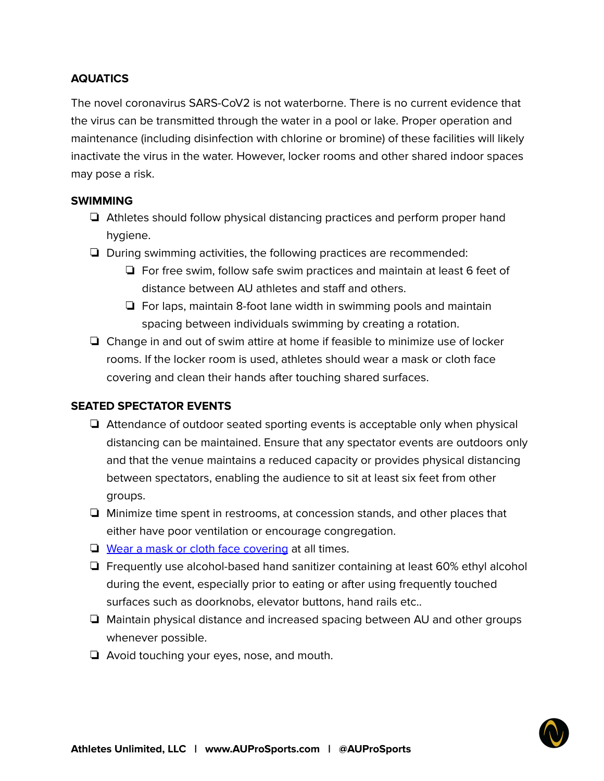# **AQUATICS**

The novel coronavirus SARS-CoV2 is not waterborne. There is no current evidence that the virus can be transmitted through the water in a pool or lake. Proper operation and maintenance (including disinfection with chlorine or bromine) of these facilities will likely inactivate the virus in the water. However, locker rooms and other shared indoor spaces may pose a risk.

#### **SWIMMING**

- ❏ Athletes should follow physical distancing practices and perform proper hand hygiene.
- ❏ During swimming activities, the following practices are recommended:
	- ❏ For free swim, follow safe swim practices and maintain at least 6 feet of distance between AU athletes and staff and others.
	- ❏ For laps, maintain 8-foot lane width in swimming pools and maintain spacing between individuals swimming by creating a rotation.
- ❏ Change in and out of swim attire at home if feasible to minimize use of locker rooms. If the locker room is used, athletes should wear a mask or cloth face covering and clean their hands after touching shared surfaces.

## **SEATED SPECTATOR EVENTS**

- ❏ Attendance of outdoor seated sporting events is acceptable only when physical distancing can be maintained. Ensure that any spectator events are outdoors only and that the venue maintains a reduced capacity or provides physical distancing between spectators, enabling the audience to sit at least six feet from other groups.
- ❏ Minimize time spent in restrooms, at concession stands, and other places that either have poor ventilation or encourage congregation.
- ❏ Wear a mask or cloth face [covering](https://www.cdc.gov/coronavirus/2019-ncov/prevent-getting-sick/diy-cloth-face-coverings.html) at all times.
- ❏ Frequently use alcohol-based hand sanitizer containing at least 60% ethyl alcohol during the event, especially prior to eating or after using frequently touched surfaces such as doorknobs, elevator buttons, hand rails etc..
- ❏ Maintain physical distance and increased spacing between AU and other groups whenever possible.
- ❏ Avoid touching your eyes, nose, and mouth.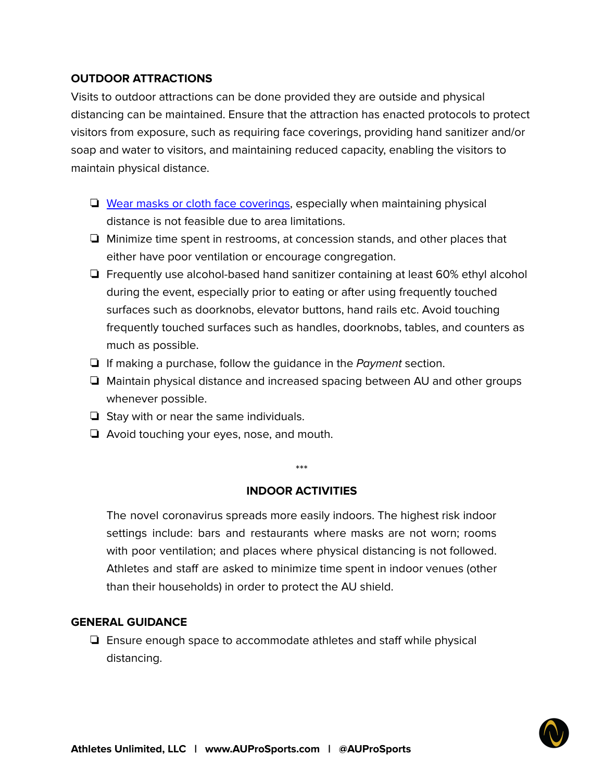# **OUTDOOR ATTRACTIONS**

Visits to outdoor attractions can be done provided they are outside and physical distancing can be maintained. Ensure that the attraction has enacted protocols to protect visitors from exposure, such as requiring face coverings, providing hand sanitizer and/or soap and water to visitors, and maintaining reduced capacity, enabling the visitors to maintain physical distance.

- ❏ Wear masks or cloth face [coverings](https://www.cdc.gov/coronavirus/2019-ncov/prevent-getting-sick/diy-cloth-face-coverings.html), especially when maintaining physical distance is not feasible due to area limitations.
- ❏ Minimize time spent in restrooms, at concession stands, and other places that either have poor ventilation or encourage congregation.
- ❏ Frequently use alcohol-based hand sanitizer containing at least 60% ethyl alcohol during the event, especially prior to eating or after using frequently touched surfaces such as doorknobs, elevator buttons, hand rails etc. Avoid touching frequently touched surfaces such as handles, doorknobs, tables, and counters as much as possible.
- ❏ If making a purchase, follow the guidance in the Payment section.
- ❏ Maintain physical distance and increased spacing between AU and other groups whenever possible.
- ❏ Stay with or near the same individuals.
- ❏ Avoid touching your eyes, nose, and mouth.

\*\*\*

#### **INDOOR ACTIVITIES**

The novel coronavirus spreads more easily indoors. The highest risk indoor settings include: bars and restaurants where masks are not worn; rooms with poor ventilation; and places where physical distancing is not followed. Athletes and staff are asked to minimize time spent in indoor venues (other than their households) in order to protect the AU shield.

#### **GENERAL GUIDANCE**

❏ Ensure enough space to accommodate athletes and staff while physical distancing.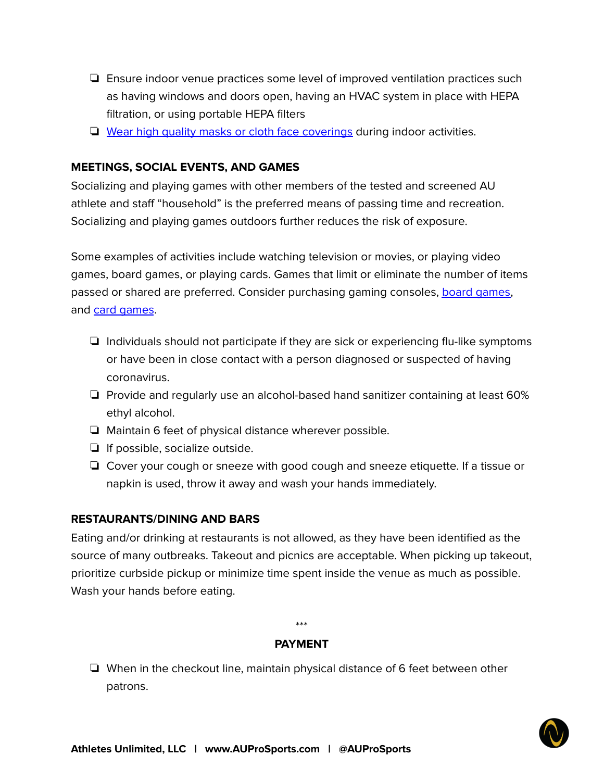- ❏ Ensure indoor venue practices some level of improved ventilation practices such as having windows and doors open, having an HVAC system in place with HEPA filtration, or using portable HEPA filters
- ❏ Wear high quality masks or cloth face [coverings](https://www.cdc.gov/coronavirus/2019-ncov/prevent-getting-sick/diy-cloth-face-coverings.html) during indoor activities.

## **MEETINGS, SOCIAL EVENTS, AND GAMES**

Socializing and playing games with other members of the tested and screened AU athlete and staff "household" is the preferred means of passing time and recreation. Socializing and playing games outdoors further reduces the risk of exposure.

Some examples of activities include watching television or movies, or playing video games, board games, or playing cards. Games that limit or eliminate the number of items passed or shared are preferred. Consider purchasing gaming consoles, board [games,](https://www.digitaltrends.com/gaming/best-board-games/) and card [games](https://www.amazon.com/Best-Sellers-Toys-Games-Card/zgbs/toys-and-games/166239011).

- ❏ Individuals should not participate if they are sick or experiencing flu-like symptoms or have been in close contact with a person diagnosed or suspected of having coronavirus.
- ❏ Provide and regularly use an alcohol-based hand sanitizer containing at least 60% ethyl alcohol.
- ❏ Maintain 6 feet of physical distance wherever possible.
- ❏ If possible, socialize outside.
- ❏ Cover your cough or sneeze with good cough and sneeze etiquette. If a tissue or napkin is used, throw it away and wash your hands immediately.

## **RESTAURANTS/DINING AND BARS**

Eating and/or drinking at restaurants is not allowed, as they have been identified as the source of many outbreaks. Takeout and picnics are acceptable. When picking up takeout, prioritize curbside pickup or minimize time spent inside the venue as much as possible. Wash your hands before eating.

\*\*\*

#### **PAYMENT**

❏ When in the checkout line, maintain physical distance of 6 feet between other patrons.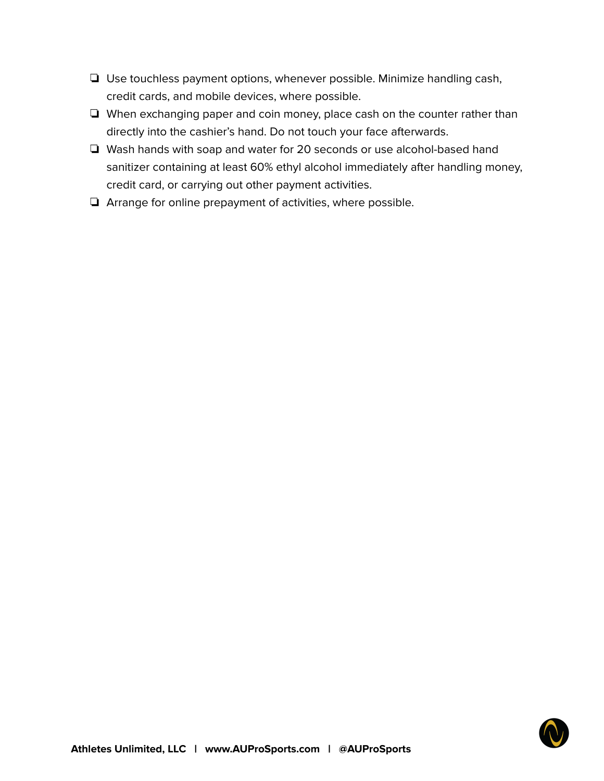- ❏ Use touchless payment options, whenever possible. Minimize handling cash, credit cards, and mobile devices, where possible.
- ❏ When exchanging paper and coin money, place cash on the counter rather than directly into the cashier's hand. Do not touch your face afterwards.
- ❏ Wash hands with soap and water for 20 seconds or use alcohol-based hand sanitizer containing at least 60% ethyl alcohol immediately after handling money, credit card, or carrying out other payment activities.
- ❏ Arrange for online prepayment of activities, where possible.